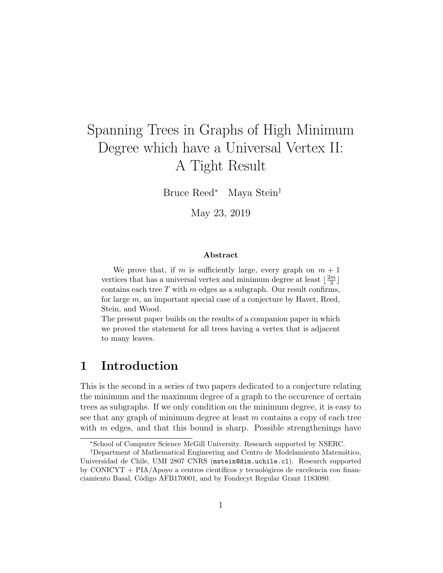# Spanning Trees in Graphs of High Minimum Degree which have a Universal Vertex II: A Tight Result

Bruce Reed<sup>∗</sup> Maya Stein†

May 23, 2019

#### Abstract

We prove that, if m is sufficiently large, every graph on  $m + 1$ vertices that has a universal vertex and minimum degree at least  $\frac{2m}{3}$  $\frac{m}{3}$ ] contains each tree  $T$  with  $m$  edges as a subgraph. Our result confirms, for large  $m$ , an important special case of a conjecture by Havet, Reed, Stein, and Wood.

The present paper builds on the results of a companion paper in which we proved the statement for all trees having a vertex that is adjacent to many leaves.

## 1 Introduction

This is the second in a series of two papers dedicated to a conjecture relating the minimum and the maximum degree of a graph to the occurence of certain trees as subgraphs. If we only condition on the minimum degree, it is easy to see that any graph of minimum degree at least  $m$  contains a copy of each tree with  $m$  edges, and that this bound is sharp. Possible strengthenings have

<sup>∗</sup>School of Computer Science McGill University. Research supported by NSERC.

<sup>&</sup>lt;sup>†</sup>Department of Mathematical Engineering and Centro de Modelamiento Matemático, Universidad de Chile, UMI 2807 CNRS (mstein@dim.uchile.cl). Research supported by CONICYT +  $PIA/Apoyo$  a centros científicos y tecnológicos de excelencia con financiamiento Basal, Código AFB170001, and by Fondecyt Regular Grant 1183080.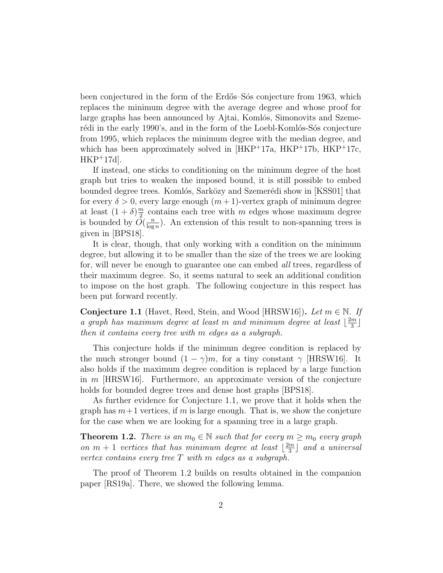been conjectured in the form of the Erdős–Sós conjecture from 1963, which replaces the minimum degree with the average degree and whose proof for large graphs has been announced by Ajtai, Komlós, Simonovits and Szemerédi in the early 1990's, and in the form of the Loebl-Komlós-Sós conjecture from 1995, which replaces the minimum degree with the median degree, and which has been approximately solved in  $[HKP+17a, HKP+17b, HKP+17c,$ HKP<sup>+</sup>17d].

If instead, one sticks to conditioning on the minimum degree of the host graph but tries to weaken the imposed bound, it is still possible to embed bounded degree trees. Komlós, Sarközy and Szemerédi show in [KSS01] that for every  $\delta > 0$ , every large enough  $(m+1)$ -vertex graph of minimum degree at least  $(1+\delta)\frac{m}{2}$  $\frac{m}{2}$  contains each tree with m edges whose maximum degree is bounded by  $\tilde{O}(\frac{n}{\log n})$  $\frac{n}{\log n}$ ). An extension of this result to non-spanning trees is given in [BPS18].

It is clear, though, that only working with a condition on the minimum degree, but allowing it to be smaller than the size of the trees we are looking for, will never be enough to guarantee one can embed all trees, regardless of their maximum degree. So, it seems natural to seek an additional condition to impose on the host graph. The following conjecture in this respect has been put forward recently.

**Conjecture 1.1** (Havet, Reed, Stein, and Wood [HRSW16]). Let  $m \in \mathbb{N}$ . If a graph has maximum degree at least m and minimum degree at least  $\frac{2m}{3}$  $\frac{m}{3}$ ] then it contains every tree with m edges as a subgraph.

This conjecture holds if the minimum degree condition is replaced by the much stronger bound  $(1 - \gamma)m$ , for a tiny constant  $\gamma$  [HRSW16]. It also holds if the maximum degree condition is replaced by a large function in  $m$  [HRSW16]. Furthermore, an approximate version of the conjecture holds for bounded degree trees and dense host graphs [BPS18].

As further evidence for Conjecture 1.1, we prove that it holds when the graph has  $m+1$  vertices, if m is large enough. That is, we show the conjeture for the case when we are looking for a spanning tree in a large graph.

**Theorem 1.2.** There is an  $m_0 \in \mathbb{N}$  such that for every  $m \geq m_0$  every graph on  $m + 1$  vertices that has minimum degree at least  $\frac{2m}{3}$  $\lfloor \frac{m}{3} \rfloor$  and a universal vertex contains every tree  $T$  with  $m$  edges as a subgraph.

The proof of Theorem 1.2 builds on results obtained in the companion paper [RS19a]. There, we showed the following lemma.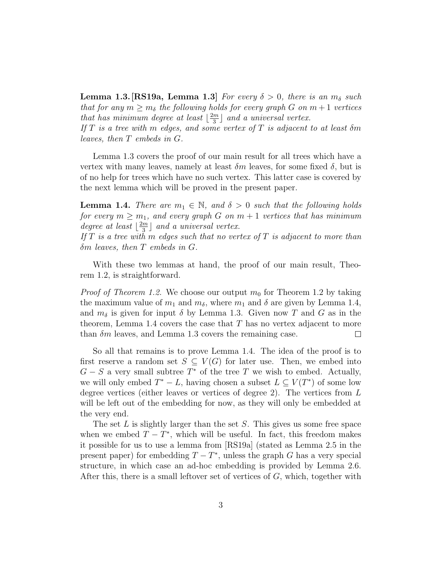**Lemma 1.3. [RS19a, Lemma 1.3]** For every  $\delta > 0$ , there is an  $m_{\delta}$  such that for any  $m \geq m_{\delta}$  the following holds for every graph G on  $m+1$  vertices that has minimum degree at least  $\lfloor \frac{2m}{3} \rfloor$  $\frac{2m}{3}$  and a universal vertex. If T is a tree with m edges, and some vertex of T is adjacent to at least  $\delta m$ leaves, then T embeds in G.

Lemma 1.3 covers the proof of our main result for all trees which have a vertex with many leaves, namely at least  $\delta m$  leaves, for some fixed  $\delta$ , but is of no help for trees which have no such vertex. This latter case is covered by the next lemma which will be proved in the present paper.

**Lemma 1.4.** There are  $m_1 \in \mathbb{N}$ , and  $\delta > 0$  such that the following holds for every  $m \geq m_1$ , and every graph G on  $m + 1$  vertices that has minimum degree at least  $\lfloor \frac{2m}{3} \rfloor$  $\frac{m}{3}$  and a universal vertex. If  $T$  is a tree with  $m$  edges such that no vertex of  $T$  is adjacent to more than

With these two lemmas at hand, the proof of our main result, Theorem 1.2, is straightforward.

δm leaves, then T embeds in G.

*Proof of Theorem 1.2.* We choose our output  $m_0$  for Theorem 1.2 by taking the maximum value of  $m_1$  and  $m_\delta$ , where  $m_1$  and  $\delta$  are given by Lemma 1.4, and  $m_{\delta}$  is given for input  $\delta$  by Lemma 1.3. Given now T and G as in the theorem, Lemma 1.4 covers the case that  $T$  has no vertex adjacent to more than  $\delta m$  leaves, and Lemma 1.3 covers the remaining case.  $\Box$ 

So all that remains is to prove Lemma 1.4. The idea of the proof is to first reserve a random set  $S \subseteq V(G)$  for later use. Then, we embed into  $G-S$  a very small subtree  $T^*$  of the tree T we wish to embed. Actually, we will only embed  $T^* - L$ , having chosen a subset  $L \subseteq V(T^*)$  of some low degree vertices (either leaves or vertices of degree 2). The vertices from  $L$ will be left out of the embedding for now, as they will only be embedded at the very end.

The set  $L$  is slightly larger than the set  $S$ . This gives us some free space when we embed  $T - T^*$ , which will be useful. In fact, this freedom makes it possible for us to use a lemma from [RS19a] (stated as Lemma 2.5 in the present paper) for embedding  $T - T^*$ , unless the graph G has a very special structure, in which case an ad-hoc embedding is provided by Lemma 2.6. After this, there is a small leftover set of vertices of G, which, together with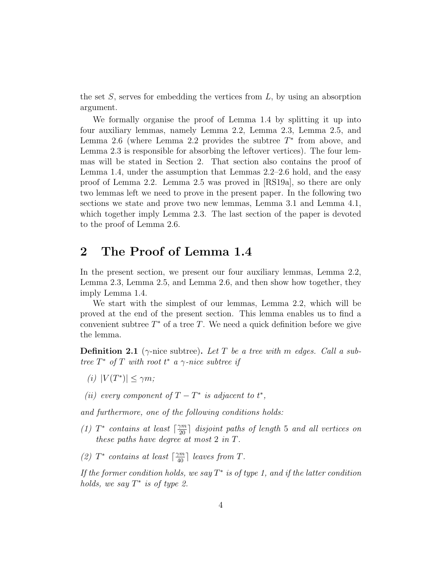the set  $S$ , serves for embedding the vertices from  $L$ , by using an absorption argument.

We formally organise the proof of Lemma 1.4 by splitting it up into four auxiliary lemmas, namely Lemma 2.2, Lemma 2.3, Lemma 2.5, and Lemma 2.6 (where Lemma 2.2 provides the subtree  $T^*$  from above, and Lemma 2.3 is responsible for absorbing the leftover vertices). The four lemmas will be stated in Section 2. That section also contains the proof of Lemma 1.4, under the assumption that Lemmas 2.2–2.6 hold, and the easy proof of Lemma 2.2. Lemma 2.5 was proved in [RS19a], so there are only two lemmas left we need to prove in the present paper. In the following two sections we state and prove two new lemmas, Lemma 3.1 and Lemma 4.1, which together imply Lemma 2.3. The last section of the paper is devoted to the proof of Lemma 2.6.

# 2 The Proof of Lemma 1.4

In the present section, we present our four auxiliary lemmas, Lemma 2.2, Lemma 2.3, Lemma 2.5, and Lemma 2.6, and then show how together, they imply Lemma 1.4.

We start with the simplest of our lemmas, Lemma 2.2, which will be proved at the end of the present section. This lemma enables us to find a convenient subtree  $T^*$  of a tree  $T$ . We need a quick definition before we give the lemma.

**Definition 2.1** ( $\gamma$ -nice subtree). Let T be a tree with m edges. Call a subtree  $T^*$  of T with root  $t^*$  a  $\gamma$ -nice subtree if

- (i)  $|V(T^*)| \leq \gamma m;$
- (ii) every component of  $T T^*$  is adjacent to  $t^*$ ,

and furthermore, one of the following conditions holds:

- (1)  $T^*$  contains at least  $\lceil \frac{\gamma m}{20} \rceil$  disjoint paths of length 5 and all vertices on these paths have degree at most 2 in T.
- (2)  $T^*$  contains at least  $\lceil \frac{\gamma m}{40} \rceil$  leaves from T.

If the former condition holds, we say  $T^*$  is of type 1, and if the latter condition holds, we say  $T^*$  is of type 2.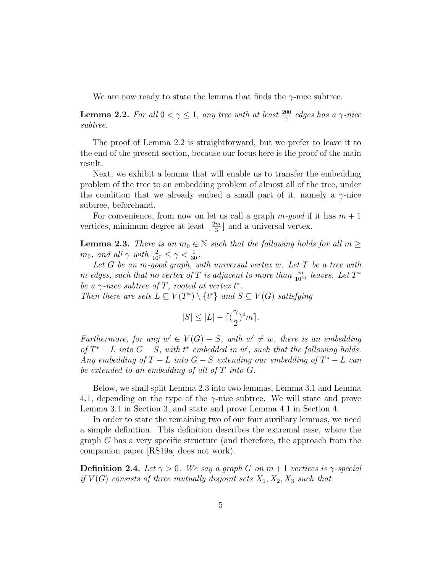We are now ready to state the lemma that finds the  $\gamma$ -nice subtree.

**Lemma 2.2.** For all  $0 < \gamma \leq 1$ , any tree with at least  $\frac{200}{\gamma}$  edges has a  $\gamma$ -nice subtree.

The proof of Lemma 2.2 is straightforward, but we prefer to leave it to the end of the present section, because our focus here is the proof of the main result.

Next, we exhibit a lemma that will enable us to transfer the embedding problem of the tree to an embedding problem of almost all of the tree, under the condition that we already embed a small part of it, namely a  $\gamma$ -nice subtree, beforehand.

For convenience, from now on let us call a graph  $m$ -good if it has  $m + 1$ vertices, minimum degree at least  $\lfloor \frac{2m}{3} \rfloor$  $\frac{m}{3}$  and a universal vertex.

**Lemma 2.3.** There is an  $m_0 \in \mathbb{N}$  such that the following holds for all  $m \geq$  $m_0$ , and all  $\gamma$  with  $\frac{2}{10^7} \leq \gamma < \frac{1}{30}$ .

Let  $G$  be an  $m$ -good graph, with universal vertex  $w$ . Let  $T$  be a tree with m edges, such that no vertex of T is adjacent to more than  $\frac{m}{10^{23}}$  leaves. Let  $T^*$ be a  $\gamma$ -nice subtree of T, rooted at vertex  $t^*$ .

Then there are sets  $L \subseteq V(T^*) \setminus \{t^*\}$  and  $S \subseteq V(G)$  satisfying

$$
|S|\leq |L|- \lceil (\frac{\gamma}{2})^4 m \rceil.
$$

Furthermore, for any  $w' \in V(G) - S$ , with  $w' \neq w$ , there is an embedding of  $T^* - L$  into  $G - S$ , with  $t^*$  embedded in w', such that the following holds. Any embedding of  $T - L$  into  $G - S$  extending our embedding of  $T^* - L$  can be extended to an embedding of all of T into G.

Below, we shall split Lemma 2.3 into two lemmas, Lemma 3.1 and Lemma 4.1, depending on the type of the  $\gamma$ -nice subtree. We will state and prove Lemma 3.1 in Section 3, and state and prove Lemma 4.1 in Section 4.

In order to state the remaining two of our four auxiliary lemmas, we need a simple definition. This definition describes the extremal case, where the graph G has a very specific structure (and therefore, the approach from the companion paper [RS19a] does not work).

**Definition 2.4.** Let  $\gamma > 0$ . We say a graph G on  $m + 1$  vertices is  $\gamma$ -special if  $V(G)$  consists of three mutually disjoint sets  $X_1, X_2, X_3$  such that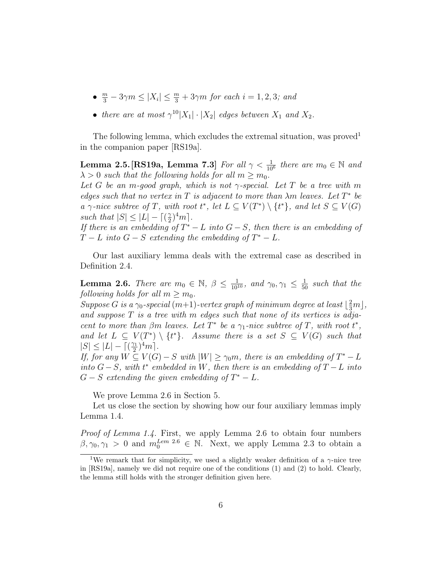- $\frac{m}{3} 3\gamma m \leq |X_i| \leq \frac{m}{3} + 3\gamma m$  for each  $i = 1, 2, 3$ ; and
- there are at most  $\gamma^{10}|X_1|\cdot |X_2|$  edges between  $X_1$  and  $X_2$ .

The following lemma, which excludes the extremal situation, was proved<sup>1</sup> in the companion paper [RS19a].

**Lemma 2.5.** [RS19a, Lemma 7.3] For all  $\gamma < \frac{1}{10^6}$  there are  $m_0 \in \mathbb{N}$  and  $\lambda > 0$  such that the following holds for all  $m \geq m_0$ .

Let G be an m-good graph, which is not  $\gamma$ -special. Let T be a tree with m edges such that no vertex in T is adjacent to more than  $\lambda m$  leaves. Let  $T^*$  be a  $\gamma$ -nice subtree of T, with root  $t^*$ , let  $L \subseteq V(T^*) \setminus \{t^*\}$ , and let  $S \subseteq V(G)$ such that  $|S| \leq |L| - \lceil \left(\frac{3}{2}\right)$  $\frac{\gamma}{2})^4 m$ .

If there is an embedding of  $T^* - L$  into  $G - S$ , then there is an embedding of  $T-L$  into  $G-S$  extending the embedding of  $T^*-L$ .

Our last auxiliary lemma deals with the extremal case as described in Definition 2.4.

**Lemma 2.6.** There are  $m_0 \in \mathbb{N}$ ,  $\beta \leq \frac{1}{10^{10}}$ , and  $\gamma_0, \gamma_1 \leq \frac{1}{50}$  such that the following holds for all  $m \geq m_0$ .

Suppose G is a  $\gamma_0$ -special  $(m+1)$ -vertex graph of minimum degree at least  $\lfloor \frac{2}{3}m \rfloor$ , and suppose  $T$  is a tree with  $m$  edges such that none of its vertices is adjacent to more than  $\beta m$  leaves. Let  $T^*$  be a  $\gamma_1$ -nice subtree of  $T$ , with root  $t^*$ , and let  $L \subseteq V(T^*) \setminus \{t^*\}$ . Assume there is a set  $S \subseteq V(G)$  such that  $|S| \leq |L| - \lceil \left(\frac{\gamma_1}{2}\right)$  $\frac{\gamma_1}{2})^4 m$ .

If, for any  $W \subseteq V(G) - S$  with  $|W| \geq \gamma_0 m$ , there is an embedding of  $T^* - L$ into  $G-S$ , with  $t^*$  embedded in W, then there is an embedding of  $T-L$  into  $G-S$  extending the given embedding of  $T^*-L$ .

We prove Lemma 2.6 in Section 5.

Let us close the section by showing how our four auxiliary lemmas imply Lemma 1.4.

Proof of Lemma 1.4. First, we apply Lemma 2.6 to obtain four numbers  $\beta, \gamma_0, \gamma_1 > 0$  and  $m_0^{Lem 2.6} \in \mathbb{N}$ . Next, we apply Lemma 2.3 to obtain a

<sup>&</sup>lt;sup>1</sup>We remark that for simplicity, we used a slightly weaker definition of a  $\gamma$ -nice tree in [RS19a], namely we did not require one of the conditions (1) and (2) to hold. Clearly, the lemma still holds with the stronger definition given here.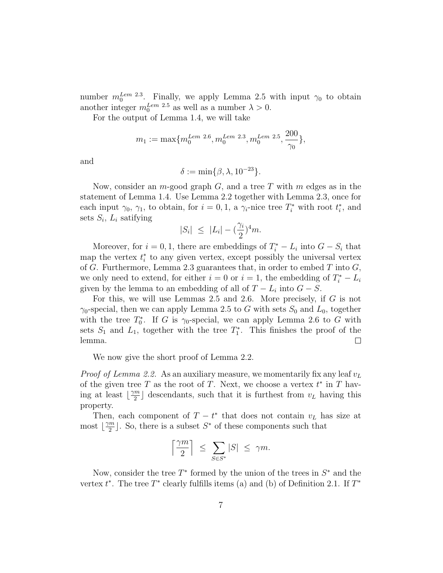number  $m_0^{Lem 2.3}$ . Finally, we apply Lemma 2.5 with input  $\gamma_0$  to obtain another integer  $m_0^{Lem}$  <sup>2.5</sup> as well as a number  $\lambda > 0$ .

For the output of Lemma 1.4, we will take

$$
m_1 := \max\{m_0^{Lem~2.6}, m_0^{Lem~2.3}, m_0^{Lem~2.5}, \frac{200}{\gamma_0}\},
$$

and

$$
\delta := \min\{\beta, \lambda, 10^{-23}\}.
$$

Now, consider an *m*-good graph  $G$ , and a tree T with m edges as in the statement of Lemma 1.4. Use Lemma 2.2 together with Lemma 2.3, once for each input  $\gamma_0$ ,  $\gamma_1$ , to obtain, for  $i = 0, 1$ , a  $\gamma_i$ -nice tree  $T_i^*$  with root  $t_i^*$ , and sets  $S_i$ ,  $L_i$  satifying

$$
|S_i| \leq |L_i| - \left(\frac{\gamma_i}{2}\right)^4 m.
$$

Moreover, for  $i = 0, 1$ , there are embeddings of  $T_i^* - L_i$  into  $G - S_i$  that map the vertex  $t_i^*$  to any given vertex, except possibly the universal vertex of G. Furthermore, Lemma 2.3 guarantees that, in order to embed  $T$  into  $G$ , we only need to extend, for either  $i = 0$  or  $i = 1$ , the embedding of  $T_i^* - L_i$ given by the lemma to an embedding of all of  $T - L_i$  into  $G - S$ .

For this, we will use Lemmas 2.5 and 2.6. More precisely, if G is not  $\gamma_0$ -special, then we can apply Lemma 2.5 to G with sets  $S_0$  and  $L_0$ , together with the tree  $T_0^*$ . If G is  $\gamma_0$ -special, we can apply Lemma 2.6 to G with sets  $S_1$  and  $L_1$ , together with the tree  $T_1^*$ . This finishes the proof of the lemma.  $\Box$ 

We now give the short proof of Lemma 2.2.

*Proof of Lemma 2.2.* As an auxiliary measure, we momentarily fix any leaf  $v_L$ of the given tree T as the root of T. Next, we choose a vertex  $t^*$  in T having at least  $\lfloor \frac{\gamma m}{2} \rfloor$  $\frac{m}{2}$  descendants, such that it is furthest from  $v_L$  having this property.

Then, each component of  $T - t^*$  that does not contain  $v_L$  has size at most  $\frac{\gamma m}{2}$  $\frac{m}{2}$ . So, there is a subset  $S^*$  of these components such that

$$
\left\lceil \frac{\gamma m}{2} \right\rceil \ \le \ \sum_{S \in S^*} |S| \ \le \ \gamma m.
$$

Now, consider the tree  $T^*$  formed by the union of the trees in  $S^*$  and the vertex  $t^*$ . The tree  $T^*$  clearly fulfills items (a) and (b) of Definition 2.1. If  $T^*$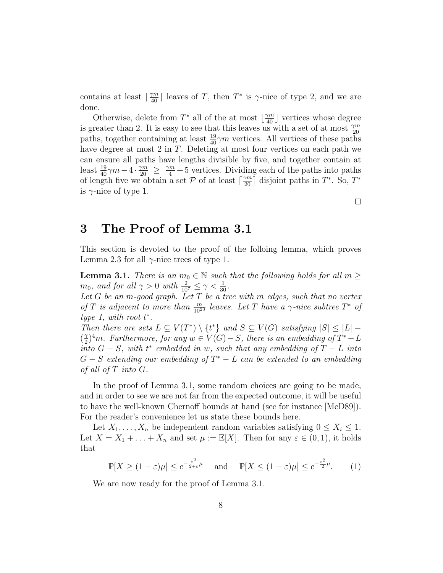contains at least  $\lceil \frac{\gamma m}{40} \rceil$  leaves of T, then  $T^*$  is  $\gamma$ -nice of type 2, and we are done.

Otherwise, delete from  $T^*$  all of the at most  $\left\lfloor \frac{\gamma m}{40} \right\rfloor$  vertices whose degree is greater than 2. It is easy to see that this leaves us with a set of at most  $\frac{\gamma m}{20}$ paths, together containing at least  $\frac{19}{40}\gamma m$  vertices. All vertices of these paths have degree at most 2 in T. Deleting at most four vertices on each path we can ensure all paths have lengths divisible by five, and together contain at least  $\frac{19}{40}\gamma m-4\cdot\frac{\gamma m}{20} \geq \frac{\gamma m}{4}+5$  vertices. Dividing each of the paths into paths of length five we obtain a set P of at least  $\lceil \frac{\gamma m}{20} \rceil$  disjoint paths in  $T^*$ . So,  $T^*$ is  $\gamma$ -nice of type 1.

#### 3 The Proof of Lemma 3.1

This section is devoted to the proof of the folloing lemma, which proves Lemma 2.3 for all  $\gamma$ -nice trees of type 1.

**Lemma 3.1.** There is an  $m_0 \in \mathbb{N}$  such that the following holds for all  $m \geq$  $m_0$ , and for all  $\gamma > 0$  with  $\frac{2}{10^7} \le \gamma < \frac{1}{30}$ .

Let  $G$  be an m-good graph. Let  $T$  be a tree with  $m$  edges, such that no vertex of T is adjacent to more than  $\frac{m}{10^{23}}$  leaves. Let T have a  $\gamma$ -nice subtree  $T^*$  of type 1, with root  $t^*$ .

Then there are sets  $L \subseteq V(T^*) \setminus \{t^*\}$  and  $S \subseteq V(G)$  satisfying  $|S| \leq |L|$  –  $\left(\frac{\gamma}{2}\right)$  $\mathbb{Z}^2$ <sup>4</sup>m. Furthermore, for any  $w \in V(G) - S$ , there is an embedding of  $T^* - L$  $\overline{a}$  into  $G-S$ , with  $t^*$  embedded in w, such that any embedding of  $T-L$  into  $G-S$  extending our embedding of  $T^* - L$  can be extended to an embedding of all of T into G.

In the proof of Lemma 3.1, some random choices are going to be made, and in order to see we are not far from the expected outcome, it will be useful to have the well-known Chernoff bounds at hand (see for instance [McD89]). For the reader's convenience let us state these bounds here.

Let  $X_1, \ldots, X_n$  be independent random variables satisfying  $0 \leq X_i \leq 1$ . Let  $X = X_1 + \ldots + X_n$  and set  $\mu := \mathbb{E}[X]$ . Then for any  $\varepsilon \in (0,1)$ , it holds that

$$
\mathbb{P}[X \ge (1+\varepsilon)\mu] \le e^{-\frac{\varepsilon^2}{2+\varepsilon}\mu} \quad \text{and} \quad \mathbb{P}[X \le (1-\varepsilon)\mu] \le e^{-\frac{\varepsilon^2}{2}\mu}.\tag{1}
$$

We are now ready for the proof of Lemma 3.1.

 $\Box$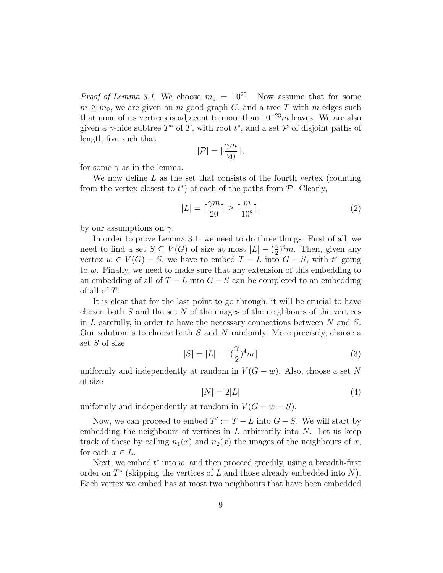*Proof of Lemma 3.1.* We choose  $m_0 = 10^{25}$ . Now assume that for some  $m \geq m_0$ , we are given an m-good graph G, and a tree T with m edges such that none of its vertices is adjacent to more than  $10^{-23}m$  leaves. We are also given a  $\gamma$ -nice subtree  $T^*$  of T, with root  $t^*$ , and a set P of disjoint paths of length five such that

$$
|\mathcal{P}| = \lceil \frac{\gamma m}{20} \rceil,
$$

for some  $\gamma$  as in the lemma.

We now define  $L$  as the set that consists of the fourth vertex (counting from the vertex closest to  $t^*$ ) of each of the paths from  $P$ . Clearly,

$$
|L| = \lceil \frac{\gamma m}{20} \rceil \ge \lceil \frac{m}{10^8} \rceil,\tag{2}
$$

by our assumptions on  $\gamma$ .

In order to prove Lemma 3.1, we need to do three things. First of all, we need to find a set  $S \subseteq V(G)$  of size at most  $|L| - \left(\frac{2}{2}\right)$  $(\frac{\gamma}{2})^4 m$ . Then, given any vertex  $w \in V(G) - S$ , we have to embed  $T - L$  into  $G - S$ , with  $t^*$  going to w. Finally, we need to make sure that any extension of this embedding to an embedding of all of  $T - L$  into  $G - S$  can be completed to an embedding of all of T.

It is clear that for the last point to go through, it will be crucial to have chosen both  $S$  and the set  $N$  of the images of the neighbours of the vertices in  $L$  carefully, in order to have the necessary connections between  $N$  and  $S$ . Our solution is to choose both  $S$  and  $N$  randomly. More precisely, choose a set S of size

$$
|S| = |L| - \lceil (\frac{\gamma}{2})^4 m \rceil \tag{3}
$$

uniformly and independently at random in  $V(G - w)$ . Also, choose a set N of size

$$
|N| = 2|L| \tag{4}
$$

uniformly and independently at random in  $V(G - w - S)$ .

Now, we can proceed to embed  $T' := T - L$  into  $G - S$ . We will start by embedding the neighbours of vertices in  $L$  arbitrarily into  $N$ . Let us keep track of these by calling  $n_1(x)$  and  $n_2(x)$  the images of the neighbours of x, for each  $x \in L$ .

Next, we embed  $t^*$  into  $w$ , and then proceed greedily, using a breadth-first order on  $T^*$  (skipping the vertices of  $L$  and those already embedded into  $N$ ). Each vertex we embed has at most two neighbours that have been embedded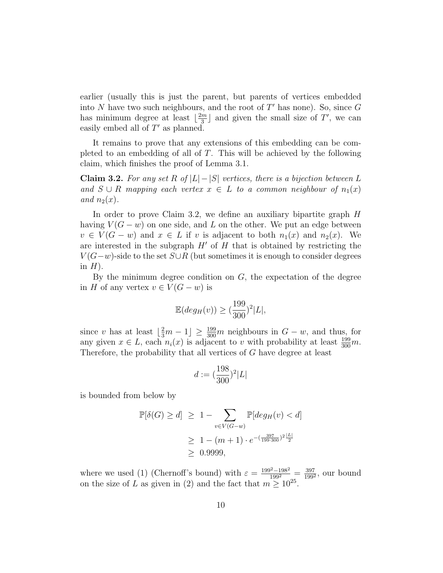earlier (usually this is just the parent, but parents of vertices embedded into N have two such neighbours, and the root of  $T'$  has none). So, since  $G$ has minimum degree at least  $\lfloor \frac{2m}{3} \rfloor$  $\frac{m}{3}$  and given the small size of T', we can easily embed all of  $T'$  as planned.

It remains to prove that any extensions of this embedding can be completed to an embedding of all of  $T$ . This will be achieved by the following claim, which finishes the proof of Lemma 3.1.

Claim 3.2. For any set R of  $|L|-|S|$  vertices, there is a bijection between L and  $S \cup R$  mapping each vertex  $x \in L$  to a common neighbour of  $n_1(x)$ and  $n_2(x)$ .

In order to prove Claim 3.2, we define an auxiliary bipartite graph H having  $V(G - w)$  on one side, and L on the other. We put an edge between  $v \in V(G - w)$  and  $x \in L$  if v is adjacent to both  $n_1(x)$  and  $n_2(x)$ . We are interested in the subgraph  $H'$  of H that is obtained by restricting the  $V(G-w)$ -side to the set  $S\cup R$  (but sometimes it is enough to consider degrees in  $H$ ).

By the minimum degree condition on  $G$ , the expectation of the degree in H of any vertex  $v \in V(G - w)$  is

$$
\mathbb{E}(\deg_H(v))\geq (\frac{199}{300})^2|L|,
$$

since v has at least  $\left[\frac{2}{3}m-1\right] \ge \frac{199}{300}m$  neighbours in  $G-w$ , and thus, for any given  $x \in L$ , each  $n_i(x)$  is adjacent to v with probability at least  $\frac{199}{300}m$ . Therefore, the probability that all vertices of G have degree at least

$$
d:=(\frac{198}{300})^2|L|
$$

is bounded from below by

$$
\mathbb{P}[\delta(G) \ge d] \ge 1 - \sum_{v \in V(G-w)} \mathbb{P}[deg_H(v) < d]
$$
\n
$$
\ge 1 - (m+1) \cdot e^{-\left(\frac{397}{199 \cdot 300}\right)^2 \frac{|L|}{2}}
$$
\n
$$
\ge 0.9999,
$$

where we used (1) (Chernoff's bound) with  $\varepsilon = \frac{199^2 - 198^2}{199^2} = \frac{397}{199^2}$  $\frac{397}{199^2}$ , our bound on the size of L as given in (2) and the fact that  $m \geq 10^{25}$ .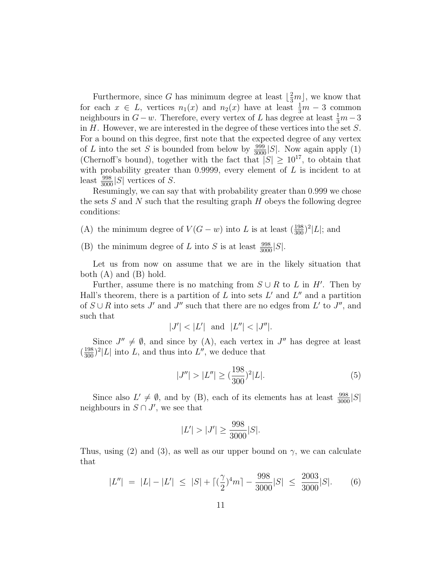Furthermore, since G has minimum degree at least  $\lfloor \frac{2}{3}m \rfloor$ , we know that for each  $x \in L$ , vertices  $n_1(x)$  and  $n_2(x)$  have at least  $\frac{1}{3}m-3$  common neighbours in  $G - w$ . Therefore, every vertex of L has degree at least  $\frac{1}{3}m - 3$ in  $H$ . However, we are interested in the degree of these vertices into the set  $S$ . For a bound on this degree, first note that the expected degree of any vertex of L into the set S is bounded from below by  $\frac{999}{3000}|S|$ . Now again apply (1) (Chernoff's bound), together with the fact that  $|S| \ge 10^{17}$ , to obtain that with probability greater than 0.9999, every element of  $L$  is incident to at least  $\frac{998}{3000}|S|$  vertices of S.

Resumingly, we can say that with probability greater than 0.999 we chose the sets  $S$  and  $N$  such that the resulting graph  $H$  obeys the following degree conditions:

- (A) the minimum degree of  $V(G w)$  into L is at least  $(\frac{198}{300})^2 |L|$ ; and
- (B) the minimum degree of L into S is at least  $\frac{998}{3000}|S|$ .

Let us from now on assume that we are in the likely situation that both  $(A)$  and  $(B)$  hold.

Further, assume there is no matching from  $S \cup R$  to L in H'. Then by Hall's theorem, there is a partition of  $L$  into sets  $L'$  and  $L''$  and a partition of  $S \cup R$  into sets J' and J" such that there are no edges from L' to J", and such that

$$
|J'| < |L'| \text{ and } |L''| < |J''|.
$$

Since  $J'' \neq \emptyset$ , and since by (A), each vertex in  $J''$  has degree at least  $(\frac{198}{300})^2|L|$  into L, and thus into L'', we deduce that

$$
|J''| > |L''| \ge (\frac{198}{300})^2 |L|.
$$
 (5)

Since also  $L' \neq \emptyset$ , and by (B), each of its elements has at least  $\frac{998}{3000}|S|$ neighbours in  $S \cap J'$ , we see that

$$
|L'| > |J'| \ge \frac{998}{3000}|S|.
$$

Thus, using (2) and (3), as well as our upper bound on  $\gamma$ , we can calculate that

$$
|L''| = |L| - |L'| \le |S| + \left\lceil \left(\frac{\gamma}{2}\right)^4 m \right\rceil - \frac{998}{3000} |S| \le \frac{2003}{3000} |S|.
$$
 (6)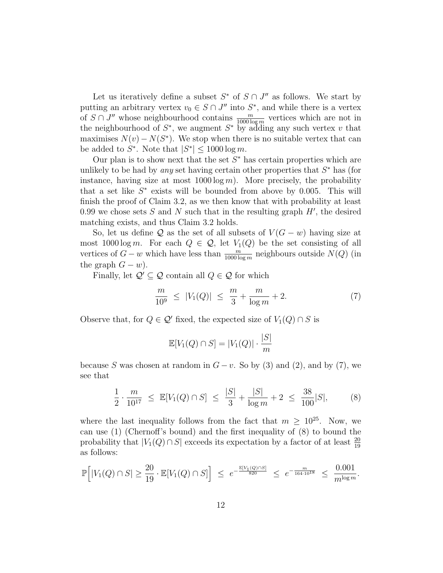Let us iteratively define a subset  $S^*$  of  $S \cap J''$  as follows. We start by putting an arbitrary vertex  $v_0 \in S \cap J''$  into  $S^*$ , and while there is a vertex of  $S \cap J''$  whose neighbourhood contains  $\frac{m}{1000 \log m}$  vertices which are not in the neighbourhood of  $S^*$ , we augment  $S^*$  by adding any such vertex v that maximises  $N(v) - N(S^*)$ . We stop when there is no suitable vertex that can be added to  $S^*$ . Note that  $|S^*| \leq 1000 \log m$ .

Our plan is to show next that the set  $S^*$  has certain properties which are unlikely to be had by *any* set having certain other properties that  $S^*$  has (for instance, having size at most  $1000 \log m$ ). More precisely, the probability that a set like  $S^*$  exists will be bounded from above by 0.005. This will finish the proof of Claim 3.2, as we then know that with probability at least 0.99 we chose sets  $S$  and  $N$  such that in the resulting graph  $H'$ , the desired matching exists, and thus Claim 3.2 holds.

So, let us define Q as the set of all subsets of  $V(G - w)$  having size at most  $1000 \log m$ . For each  $Q \in \mathcal{Q}$ , let  $V_1(Q)$  be the set consisting of all vertices of  $G - w$  which have less than  $\frac{m}{1000 \log m}$  neighbours outside  $N(Q)$  (in the graph  $G - w$ ).

Finally, let  $\mathcal{Q}' \subseteq \mathcal{Q}$  contain all  $Q \in \mathcal{Q}$  for which

$$
\frac{m}{10^9} \le |V_1(Q)| \le \frac{m}{3} + \frac{m}{\log m} + 2. \tag{7}
$$

Observe that, for  $Q \in \mathcal{Q}'$  fixed, the expected size of  $V_1(Q) \cap S$  is

$$
\mathbb{E}[V_1(Q) \cap S] = |V_1(Q)| \cdot \frac{|S|}{m}
$$

because S was chosen at random in  $G - v$ . So by (3) and (2), and by (7), we see that

$$
\frac{1}{2} \cdot \frac{m}{10^{17}} \le \mathbb{E}[V_1(Q) \cap S] \le \frac{|S|}{3} + \frac{|S|}{\log m} + 2 \le \frac{38}{100}|S|,
$$
 (8)

where the last inequality follows from the fact that  $m > 10^{25}$ . Now, we can use (1) (Chernoff's bound) and the first inequality of (8) to bound the probability that  $|V_1(Q) \cap S|$  exceeds its expectation by a factor of at least  $\frac{20}{19}$ as follows:

$$
\mathbb{P}\Big[|V_1(Q) \cap S| \ge \frac{20}{19} \cdot \mathbb{E}[V_1(Q) \cap S]\Big] \le e^{-\frac{\mathbb{E}[V_1(Q) \cap S]}{820}} \le e^{-\frac{m}{164 \cdot 10^{18}}} \le \frac{0.001}{m^{\log m}}.
$$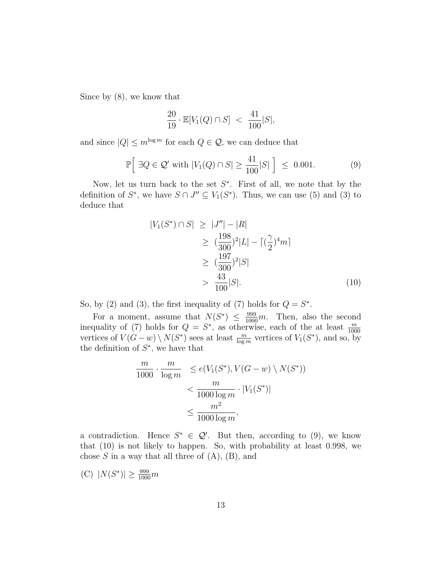Since by (8), we know that

$$
\frac{20}{19} \cdot \mathbb{E}[V_1(Q) \cap S] < \frac{41}{100}|S|,
$$

and since  $|Q| \leq m^{\log m}$  for each  $Q \in \mathcal{Q}$ , we can deduce that

$$
\mathbb{P}\Big[\exists Q \in \mathcal{Q}' \text{ with } |V_1(Q) \cap S| \ge \frac{41}{100}|S| \Big] \le 0.001. \tag{9}
$$

Now, let us turn back to the set  $S^*$ . First of all, we note that by the definition of  $S^*$ , we have  $S \cap J'' \subseteq V_1(S^*)$ . Thus, we can use (5) and (3) to deduce that

$$
|V_1(S^*) \cap S| \ge |J''| - |R|
$$
  
\n
$$
\ge (\frac{198}{300})^2 |L| - \left[ (\frac{\gamma}{2})^4 m \right]
$$
  
\n
$$
\ge (\frac{197}{300})^2 |S|
$$
  
\n
$$
> \frac{43}{100} |S|.
$$
 (10)

So, by (2) and (3), the first inequality of (7) holds for  $Q = S^*$ .

For a moment, assume that  $N(S^*) \leq \frac{999}{1000}m$ . Then, also the second inequality of (7) holds for  $Q = S^*$ , as otherwise, each of the at least  $\frac{m}{1000}$  vertices of  $V(G - w) \setminus N(S^*)$  sees at least  $\frac{m}{\log m}$  vertices of  $V_1(S^*)$ , and so, by the definition of  $S^*$ , we have that

$$
\frac{m}{1000} \cdot \frac{m}{\log m} \le e(V_1(S^*), V(G - w) \setminus N(S^*))
$$
  

$$
< \frac{m}{1000 \log m} \cdot |V_1(S^*)|
$$
  

$$
\le \frac{m^2}{1000 \log m},
$$

a contradiction. Hence  $S^* \in \mathcal{Q}'$ . But then, according to (9), we know that (10) is not likely to happen. So, with probability at least 0.998, we chose  $S$  in a way that all three of  $(A)$ ,  $(B)$ , and

(C) 
$$
|N(S^*)| \ge \frac{999}{1000}m
$$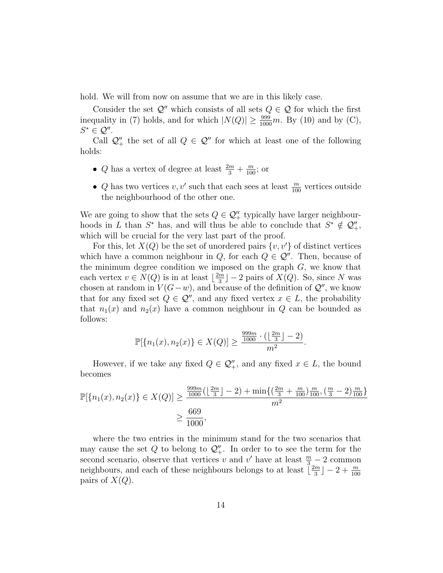hold. We will from now on assume that we are in this likely case.

Consider the set  $\mathcal{Q}''$  which consists of all sets  $Q \in \mathcal{Q}$  for which the first inequality in (7) holds, and for which  $|N(Q)| \ge \frac{999}{1000}m$ . By (10) and by (C),  $S^* \in \mathcal{Q}''$ .

Call  $\mathcal{Q}''_+$  the set of all  $Q \in \mathcal{Q}''$  for which at least one of the following holds:

- *Q* has a vertex of degree at least  $\frac{2m}{3} + \frac{m}{100}$ ; or
- Q has two vertices  $v, v'$  such that each sees at least  $\frac{m}{100}$  vertices outside the neighbourhood of the other one.

We are going to show that the sets  $Q \in \mathcal{Q}_+^{\prime\prime}$  typically have larger neighbourhoods in L than  $S^*$  has, and will thus be able to conclude that  $S^* \notin \mathcal{Q}_+^{\prime\prime}$ , which will be crucial for the very last part of the proof.

For this, let  $X(Q)$  be the set of unordered pairs  $\{v, v'\}$  of distinct vertices which have a common neighbour in Q, for each  $Q \in \mathcal{Q}''$ . Then, because of the minimum degree condition we imposed on the graph  $G$ , we know that each vertex  $v \in N(Q)$  is in at least  $\frac{2m}{3}$  $\lfloor \frac{m}{3} \rfloor - 2$  pairs of  $X(Q)$ . So, since N was chosen at random in  $V(G-w)$ , and because of the definition of  $\mathcal{Q}''$ , we know that for any fixed set  $Q \in \mathcal{Q}''$ , and any fixed vertex  $x \in L$ , the probability that  $n_1(x)$  and  $n_2(x)$  have a common neighbour in Q can be bounded as follows:

$$
\mathbb{P}[\{n_1(x), n_2(x)\} \in X(Q)] \ge \frac{\frac{999m}{1000} \cdot (\lfloor \frac{2m}{3} \rfloor - 2)}{m^2}.
$$

However, if we take any fixed  $Q \in \mathcal{Q}''_+$ , and any fixed  $x \in L$ , the bound becomes

$$
\mathbb{P}[\{n_1(x), n_2(x)\} \in X(Q)] \ge \frac{\frac{999m}{1000} (\lfloor \frac{2m}{3} \rfloor - 2) + \min\{(\frac{2m}{3} + \frac{m}{100})\frac{m}{100}, (\frac{m}{3} - 2)\frac{m}{100}\}}{m^2}
$$

$$
\ge \frac{669}{1000},
$$

where the two entries in the minimum stand for the two scenarios that may cause the set  $Q$  to belong to  $\mathcal{Q}''_+$ . In order to to see the term for the second scenario, observe that vertices v and v' have at least  $\frac{m}{3} - 2$  common neighbours, and each of these neighbours belongs to at least  $\frac{2m}{3}$  $\left\lfloor \frac{m}{3} \right\rfloor - 2 + \frac{m}{100}$ pairs of  $X(Q)$ .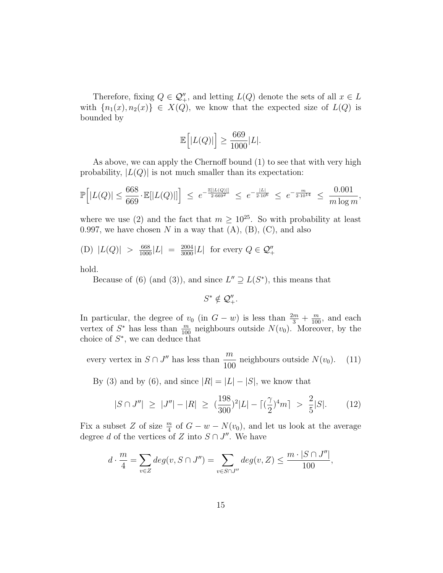Therefore, fixing  $Q \in \mathcal{Q}''_+$ , and letting  $L(Q)$  denote the sets of all  $x \in L$ with  $\{n_1(x), n_2(x)\}\in X(Q)$ , we know that the expected size of  $L(Q)$  is bounded by

$$
\mathbb{E}\Big[|L(Q)|\Big] \ge \frac{669}{1000}|L|.
$$

As above, we can apply the Chernoff bound (1) to see that with very high probability,  $|L(Q)|$  is not much smaller than its expectation:

$$
\mathbb{P}\Big[|L(Q)| \le \frac{668}{669} \cdot \mathbb{E}[|L(Q)|]\Big] \ \le \ e^{-\frac{\mathbb{E}[|L(Q)|]}{2 \cdot 669^2}} \ \le \ e^{-\frac{|L|}{2 \cdot 10^6}} \ \le \ e^{-\frac{m}{2 \cdot 10^{14}}} \ \le \ \frac{0.001}{m \log m},
$$

where we use (2) and the fact that  $m \geq 10^{25}$ . So with probability at least 0.997, we have chosen N in a way that  $(A)$ ,  $(B)$ ,  $(C)$ , and also

(D) 
$$
|L(Q)| > \frac{668}{1000}|L| = \frac{2004}{3000}|L|
$$
 for every  $Q \in \mathcal{Q}''_+$ 

hold.

Because of (6) (and (3)), and since  $L'' \supseteq L(S^*)$ , this means that

 $S^* \notin \mathcal{Q}_+^{\prime\prime}$ .

In particular, the degree of  $v_0$  (in  $G - w$ ) is less than  $\frac{2m}{3} + \frac{m}{100}$ , and each vertex of  $S^*$  has less than  $\frac{m}{100}$  neighbours outside  $N(v_0)$ . Moreover, by the choice of  $S^*$ , we can deduce that

every vertex in  $S \cap J''$  has less than  $\frac{m}{100}$  $\frac{10}{100}$  neighbours outside  $N(v_0)$ . (11)

By (3) and by (6), and since  $|R| = |L| - |S|$ , we know that

$$
|S \cap J''| \ge |J''| - |R| \ge (\frac{198}{300})^2 |L| - \left[ (\frac{\gamma}{2})^4 m \right] > \frac{2}{5} |S|.
$$
 (12)

Fix a subset Z of size  $\frac{m}{4}$  of  $G - w - N(v_0)$ , and let us look at the average degree d of the vertices of Z into  $S \cap J''$ . We have

$$
d \cdot \frac{m}{4} = \sum_{v \in Z} deg(v, S \cap J'') = \sum_{v \in S \cap J''} deg(v, Z) \le \frac{m \cdot |S \cap J''|}{100},
$$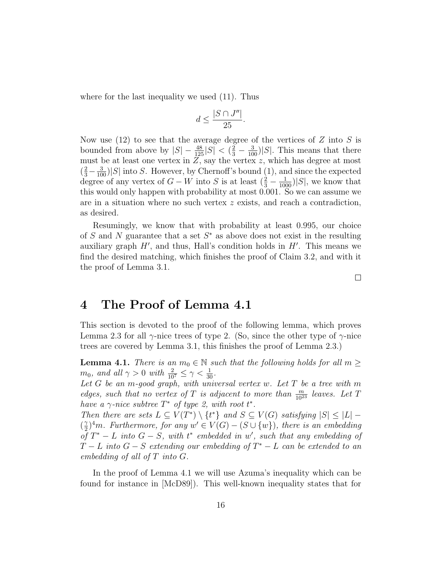where for the last inequality we used (11). Thus

$$
d \le \frac{|S \cap J''|}{25}.
$$

Now use  $(12)$  to see that the average degree of the vertices of Z into S is bounded from above by  $|S| - \frac{48}{125}|S| < (\frac{2}{3} - \frac{3}{100})|S|$ . This means that there must be at least one vertex in  $Z$ , say the vertex  $z$ , which has degree at most  $\left(\frac{2}{3}-\frac{3}{100}\right)|S|$  into S. However, by Chernoff's bound (1), and since the expected degree of any vertex of  $G - W$  into S is at least  $(\frac{2}{3} - \frac{1}{1000})|S|$ , we know that this would only happen with probability at most 0.001. So we can assume we are in a situation where no such vertex z exists, and reach a contradiction, as desired.

Resumingly, we know that with probability at least 0.995, our choice of  $S$  and  $N$  guarantee that a set  $S^*$  as above does not exist in the resulting auxiliary graph  $H'$ , and thus, Hall's condition holds in  $H'$ . This means we find the desired matching, which finishes the proof of Claim 3.2, and with it the proof of Lemma 3.1.

4 The Proof of Lemma 4.1

This section is devoted to the proof of the following lemma, which proves Lemma 2.3 for all  $\gamma$ -nice trees of type 2. (So, since the other type of  $\gamma$ -nice trees are covered by Lemma 3.1, this finishes the proof of Lemma 2.3.)

**Lemma 4.1.** There is an  $m_0 \in \mathbb{N}$  such that the following holds for all  $m \geq$  $m_0$ , and all  $\gamma > 0$  with  $\frac{2}{10^7} \leq \gamma < \frac{1}{30}$ .

Let  $G$  be an m-good graph, with universal vertex w. Let  $T$  be a tree with  $m$ edges, such that no vertex of T is adjacent to more than  $\frac{m}{10^{23}}$  leaves. Let T have a  $\gamma$ -nice subtree  $T^*$  of type 2, with root  $t^*$ .

Then there are sets  $L \subseteq V(T^*) \setminus \{t^*\}$  and  $S \subseteq V(G)$  satisfying  $|S| \leq |L|$  –  $\left(\frac{\gamma}{2}\right)$  $\mathbb{Z}_2^{\gamma}$ <sup>4</sup>m. Furthermore, for any  $w' \in V(G) - (S \cup \{w\})$ , there is an embedding of  $T^* - L$  into  $G - S$ , with  $t^*$  embedded in w', such that any embedding of  $T-L$  into  $G-S$  extending our embedding of  $T^* - L$  can be extended to an embedding of all of  $T$  into  $G$ .

In the proof of Lemma 4.1 we will use Azuma's inequality which can be found for instance in [McD89]). This well-known inequality states that for

16

 $\Box$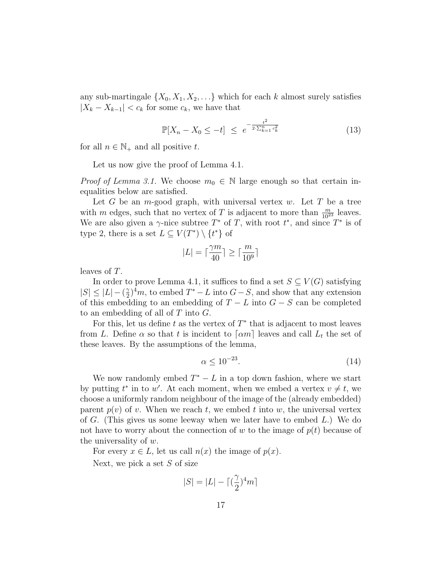any sub-martingale  $\{X_0, X_1, X_2, \ldots\}$  which for each k almost surely satisfies  $|X_k - X_{k-1}| < c_k$  for some  $c_k$ , we have that

$$
\mathbb{P}[X_n - X_0 \le -t] \le e^{-\frac{t^2}{2 \cdot \sum_{k=1}^n c_k^2}} \tag{13}
$$

for all  $n \in \mathbb{N}_+$  and all positive t.

Let us now give the proof of Lemma 4.1.

*Proof of Lemma 3.1.* We choose  $m_0 \in \mathbb{N}$  large enough so that certain inequalities below are satisfied.

Let G be an m-good graph, with universal vertex w. Let T be a tree with m edges, such that no vertex of T is adjacent to more than  $\frac{m}{10^{23}}$  leaves. We are also given a  $\gamma$ -nice subtree  $T^*$  of T, with root  $t^*$ , and since  $T^*$  is of type 2, there is a set  $L \subseteq V(T^*) \setminus \{t^*\}$  of

$$
|L|=\lceil\frac{\gamma m}{40}\rceil\geq\lceil\frac{m}{10^9}\rceil
$$

leaves of T.

In order to prove Lemma 4.1, it suffices to find a set  $S \subseteq V(G)$  satisfying  $|S| \leq |L| - (\frac{\gamma}{2})$  $\frac{\gamma}{2}$ <sup>4</sup>m, to embed  $T^* - L$  into  $G - S$ , and show that any extension of this embedding to an embedding of  $T - L$  into  $G - S$  can be completed to an embedding of all of  $T$  into  $G$ .

For this, let us define t as the vertex of  $T^*$  that is adjacent to most leaves from L. Define  $\alpha$  so that t is incident to  $\lceil \alpha m \rceil$  leaves and call  $L_t$  the set of these leaves. By the assumptions of the lemma,

$$
\alpha \le 10^{-23}.\tag{14}
$$

We now randomly embed  $T^* - L$  in a top down fashion, where we start by putting  $t^*$  in to w'. At each moment, when we embed a vertex  $v \neq t$ , we choose a uniformly random neighbour of the image of the (already embedded) parent  $p(v)$  of v. When we reach t, we embed t into w, the universal vertex of G. (This gives us some leeway when we later have to embed  $L$ .) We do not have to worry about the connection of w to the image of  $p(t)$  because of the universality of  $w$ .

For every  $x \in L$ , let us call  $n(x)$  the image of  $p(x)$ .

Next, we pick a set  $S$  of size

$$
|S|=|L|-\lceil(\frac{\gamma}{2})^4m\rceil
$$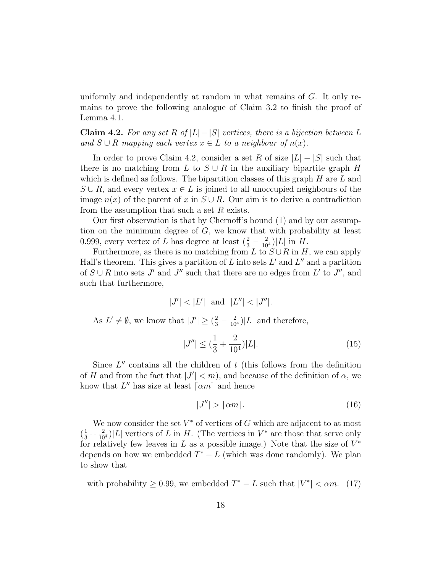uniformly and independently at random in what remains of G. It only remains to prove the following analogue of Claim 3.2 to finish the proof of Lemma 4.1.

Claim 4.2. For any set R of  $|L|-|S|$  vertices, there is a bijection between L and  $S \cup R$  mapping each vertex  $x \in L$  to a neighbour of  $n(x)$ .

In order to prove Claim 4.2, consider a set R of size  $|L| - |S|$  such that there is no matching from L to  $S \cup R$  in the auxiliary bipartite graph H which is defined as follows. The bipartition classes of this graph  $H$  are  $L$  and  $S \cup R$ , and every vertex  $x \in L$  is joined to all unoccupied neighbours of the image  $n(x)$  of the parent of x in  $S \cup R$ . Our aim is to derive a contradiction from the assumption that such a set  $R$  exists.

Our first observation is that by Chernoff's bound (1) and by our assumption on the minimum degree of G, we know that with probability at least 0.999, every vertex of L has degree at least  $(\frac{2}{3} - \frac{2}{10^4})|L|$  in H.

Furthermore, as there is no matching from L to  $S \cup R$  in H, we can apply Hall's theorem. This gives a partition of  $L$  into sets  $L'$  and  $L''$  and a partition of  $S \cup R$  into sets J' and J" such that there are no edges from L' to J", and such that furthermore,

$$
|J'| < |L'| \text{ and } |L''| < |J''|.
$$

As  $L' \neq \emptyset$ , we know that  $|J'| \geq (\frac{2}{3} - \frac{2}{10^4})|L|$  and therefore,

$$
|J''| \le \left(\frac{1}{3} + \frac{2}{10^4}\right)|L|.\tag{15}
$$

Since  $L''$  contains all the children of  $t$  (this follows from the definition of H and from the fact that  $|J'| < m$ , and because of the definition of  $\alpha$ , we know that  $L''$  has size at least  $\lceil \alpha m \rceil$  and hence

$$
|J''| > \lceil \alpha m \rceil. \tag{16}
$$

We now consider the set  $V^*$  of vertices of  $G$  which are adjacent to at most  $(\frac{1}{3} + \frac{2}{10^4})|L|$  vertices of L in H. (The vertices in  $V^*$  are those that serve only for relatively few leaves in  $L$  as a possible image.) Note that the size of  $V^*$ depends on how we embedded  $T^* - L$  (which was done randomly). We plan to show that

with probability  $\geq 0.99$ , we embedded  $T^* - L$  such that  $|V^*| < \alpha m$ . (17)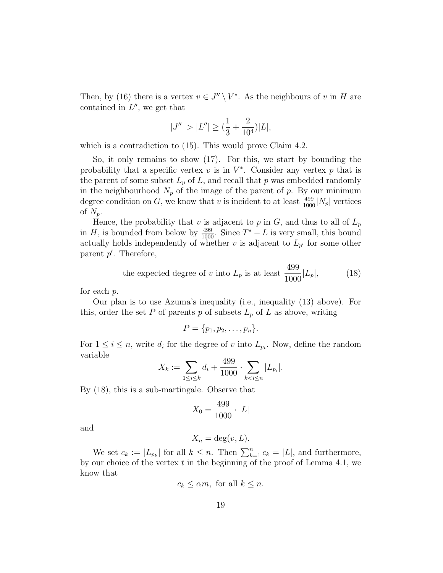Then, by (16) there is a vertex  $v \in J'' \setminus V^*$ . As the neighbours of v in H are contained in  $L''$ , we get that

$$
|J''| > |L''| \ge \left(\frac{1}{3} + \frac{2}{10^4}\right)|L|,
$$

which is a contradiction to  $(15)$ . This would prove Claim 4.2.

So, it only remains to show (17). For this, we start by bounding the probability that a specific vertex  $v$  is in  $V^*$ . Consider any vertex  $p$  that is the parent of some subset  $L_p$  of L, and recall that p was embedded randomly in the neighbourhood  $N_p$  of the image of the parent of p. By our minimum degree condition on G, we know that v is incident to at least  $\frac{499}{1000}$  |N<sub>p</sub>| vertices of  $N_p$ .

Hence, the probability that v is adjacent to p in  $G$ , and thus to all of  $L_p$ in H, is bounded from below by  $\frac{499}{1000}$ . Since  $T^* - L$  is very small, this bound actually holds independently of whether v is adjacent to  $L_{p'}$  for some other parent  $p'$ . Therefore,

the expected degree of v into 
$$
L_p
$$
 is at least  $\frac{499}{1000}|L_p|,$  (18)

for each p.

Our plan is to use Azuma's inequality (i.e., inequality (13) above). For this, order the set P of parents p of subsets  $L_p$  of L as above, writing

$$
P = \{p_1, p_2, \ldots, p_n\}.
$$

For  $1 \leq i \leq n$ , write  $d_i$  for the degree of v into  $L_{p_i}$ . Now, define the random variable

$$
X_k := \sum_{1 \le i \le k} d_i + \frac{499}{1000} \cdot \sum_{k < i \le n} |L_{p_i}|.
$$

By (18), this is a sub-martingale. Observe that

$$
X_0 = \frac{499}{1000} \cdot |L|
$$

and

$$
X_n = \deg(v, L).
$$

We set  $c_k := |L_{p_k}|$  for all  $k \leq n$ . Then  $\sum_{k=1}^n c_k = |L|$ , and furthermore, by our choice of the vertex  $t$  in the beginning of the proof of Lemma 4.1, we know that

$$
c_k \le \alpha m
$$
, for all  $k \le n$ .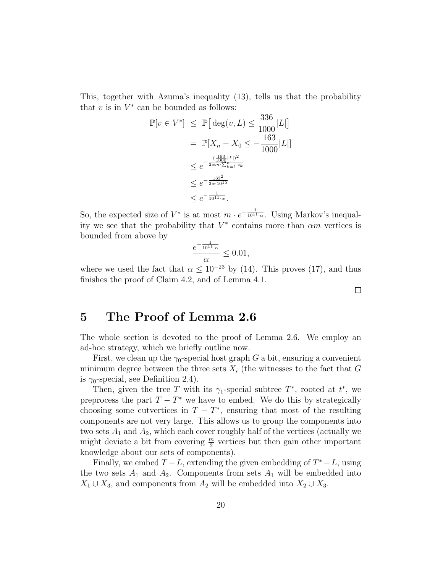This, together with Azuma's inequality (13), tells us that the probability that  $v$  is in  $V^*$  can be bounded as follows:

$$
\mathbb{P}[v \in V^*] \leq \mathbb{P}\left[\deg(v, L) \leq \frac{336}{1000} |L|\right]
$$
  
=  $\mathbb{P}[X_n - X_0 \leq -\frac{163}{1000} |L|]$   
 $\leq e^{-\frac{\left(\frac{163}{1000} |L|\right)^2}{2\alpha m \sum_{k=1}^n c_k}}$   
 $\leq e^{-\frac{163^2}{2\alpha \cdot 10^{15}}}$   
 $\leq e^{-\frac{1}{10^{11} \cdot \alpha}}.$ 

So, the expected size of  $V^*$  is at most  $m \cdot e^{-\frac{1}{10^{11} \cdot \alpha}}$ . Using Markov's inequality we see that the probability that  $V^*$  contains more than  $\alpha m$  vertices is bounded from above by

$$
\frac{e^{-\frac{1}{10^{11} \cdot \alpha}}}{\alpha} \le 0.01,
$$

where we used the fact that  $\alpha \leq 10^{-23}$  by (14). This proves (17), and thus finishes the proof of Claim 4.2, and of Lemma 4.1.

# 5 The Proof of Lemma 2.6

The whole section is devoted to the proof of Lemma 2.6. We employ an ad-hoc strategy, which we briefly outline now.

First, we clean up the  $\gamma_0$ -special host graph G a bit, ensuring a convenient minimum degree between the three sets  $X_i$  (the witnesses to the fact that G is  $\gamma_0$ -special, see Definition 2.4).

Then, given the tree T with its  $\gamma_1$ -special subtree  $T^*$ , rooted at  $t^*$ , we preprocess the part  $T - T^*$  we have to embed. We do this by strategically choosing some cutvertices in  $T - T^*$ , ensuring that most of the resulting components are not very large. This allows us to group the components into two sets  $A_1$  and  $A_2$ , which each cover roughly half of the vertices (actually we might deviate a bit from covering  $\frac{m}{2}$  vertices but then gain other important knowledge about our sets of components).

Finally, we embed  $T - L$ , extending the given embedding of  $T^* - L$ , using the two sets  $A_1$  and  $A_2$ . Components from sets  $A_1$  will be embedded into  $X_1 \cup X_3$ , and components from  $A_2$  will be embedded into  $X_2 \cup X_3$ .

 $\Box$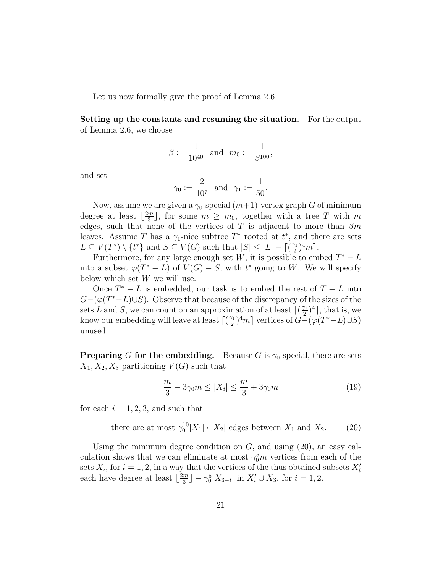Let us now formally give the proof of Lemma 2.6.

Setting up the constants and resuming the situation. For the output of Lemma 2.6, we choose

$$
\beta:=\frac{1}{10^{40}}\ \ {\rm and}\ \ m_0:=\frac{1}{\beta^{100}},
$$

and set

$$
\gamma_0 := \frac{2}{10^7}
$$
 and  $\gamma_1 := \frac{1}{50}$ .

Now, assume we are given a  $\gamma_0$ -special  $(m+1)$ -vertex graph G of minimum degree at least  $\frac{2m}{3}$  $\frac{m}{3}$ , for some  $m \geq m_0$ , together with a tree T with m edges, such that none of the vertices of T is adjacent to more than  $\beta m$ leaves. Assume T has a  $\gamma_1$ -nice subtree  $T^*$  rooted at  $t^*$ , and there are sets  $L \subseteq V(T^*) \setminus \{t^*\}$  and  $S \subseteq V(G)$  such that  $|S| \leq |L| - \lceil \frac{\gamma_1}{2} \rceil$  $\frac{\gamma_1}{2})^4 m$ .

Furthermore, for any large enough set W, it is possible to embed  $T^* - L$ into a subset  $\varphi(T^* - L)$  of  $V(G) - S$ , with  $t^*$  going to W. We will specify below which set  $W$  we will use.

Once  $T^* - L$  is embedded, our task is to embed the rest of  $T - L$  into  $G-(\varphi(T^*-L)\cup S)$ . Observe that because of the discrepancy of the sizes of the sets L and S, we can count on an approximation of at least  $\lceil$   $\left(\frac{\gamma_1}{2}\right)\rceil$  $\frac{\gamma_1}{2}$   $\Big)$ <sup>4</sup>, that is, we know our embedding will leave at least  $\lceil$   $\left(\frac{\gamma_1}{2}\right)\rceil$  $\frac{\gamma_1}{2}$ <sup>2</sup> $m$ <sup>1</sup> vertices of  $G-(\varphi(T^*-L)\cup S)$ unused.

**Preparing G for the embedding.** Because G is  $\gamma_0$ -special, there are sets  $X_1, X_2, X_3$  partitioning  $V(G)$  such that

$$
\frac{m}{3} - 3\gamma_0 m \le |X_i| \le \frac{m}{3} + 3\gamma_0 m \tag{19}
$$

for each  $i = 1, 2, 3$ , and such that

there are at most  $\gamma_0^{10}|X_1|\cdot|X_2|$  edges between  $X_1$  and  $X_2$ . (20)

Using the minimum degree condition on  $G$ , and using  $(20)$ , an easy calculation shows that we can eliminate at most  $\gamma_0^5 m$  vertices from each of the sets  $X_i$ , for  $i = 1, 2$ , in a way that the vertices of the thus obtained subsets  $X_i'$ each have degree at least  $\frac{2m}{3}$  $\frac{m}{3}$ ] –  $\gamma_0^5|X_{3-i}|$  in  $X_i' \cup X_3$ , for  $i = 1, 2$ .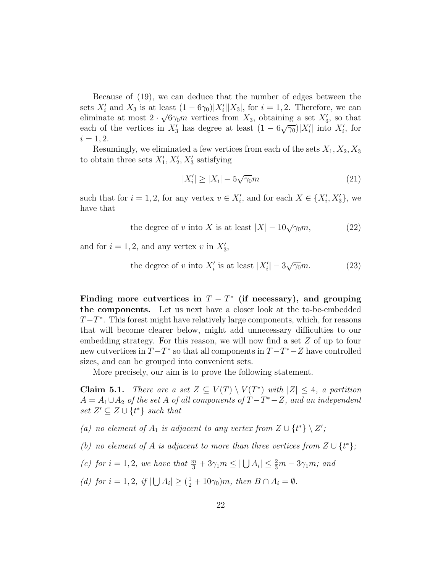Because of (19), we can deduce that the number of edges between the sets  $X_i'$  and  $X_3$  is at least  $(1 - 6\gamma_0)|X_i'||X_3|$ , for  $i = 1, 2$ . Therefore, we can eliminate at most  $2 \cdot \sqrt{6\gamma_0}m$  vertices from  $X_3$ , obtaining a set  $X'_3$ , so that each of the vertices in  $X_3'$  has degree at least  $(1 - 6\sqrt{\gamma_0})|X_i'|$  into  $X_i'$ , for  $i = 1, 2.$ 

Resumingly, we eliminated a few vertices from each of the sets  $X_1, X_2, X_3$ to obtain three sets  $X'_1, X'_2, X'_3$  satisfying

$$
|X'_i| \ge |X_i| - 5\sqrt{\gamma_0}m\tag{21}
$$

such that for  $i = 1, 2$ , for any vertex  $v \in X'_i$ , and for each  $X \in \{X'_i, X'_3\}$ , we have that

the degree of v into X is at least 
$$
|X| - 10\sqrt{\gamma_0}m
$$
, (22)

and for  $i = 1, 2$ , and any vertex v in  $X'_3$ ,

the degree of v into 
$$
X'_i
$$
 is at least  $|X'_i| - 3\sqrt{\gamma_0}m$ . (23)

Finding more cutvertices in  $T - T^*$  (if necessary), and grouping the components. Let us next have a closer look at the to-be-embedded  $T-T^*$ . This forest might have relatively large components, which, for reasons that will become clearer below, might add unnecessary difficulties to our embedding strategy. For this reason, we will now find a set Z of up to four new cutvertices in  $T - T^*$  so that all components in  $T - T^* - Z$  have controlled sizes, and can be grouped into convenient sets.

More precisely, our aim is to prove the following statement.

**Claim 5.1.** There are a set  $Z \subseteq V(T) \setminus V(T^*)$  with  $|Z| \leq 4$ , a partition  $A = A_1 \cup A_2$  of the set A of all components of  $T - T^* - Z$ , and an independent set  $Z' \subseteq Z \cup \{t^*\}$  such that

(a) no element of  $A_1$  is adjacent to any vertex from  $Z \cup \{t^*\} \setminus Z'$ ;

(b) no element of A is adjacent to more than three vertices from  $Z \cup \{t^*\}$ ;

(c) for  $i = 1, 2$ , we have that  $\frac{m}{3} + 3\gamma_1 m \leq |\bigcup A_i| \leq \frac{2}{3}m - 3\gamma_1 m$ ; and

(d) for  $i = 1, 2$ , if  $|\bigcup A_i| \geq (\frac{1}{2} + 10\gamma_0)m$ , then  $B \cap A_i = \emptyset$ .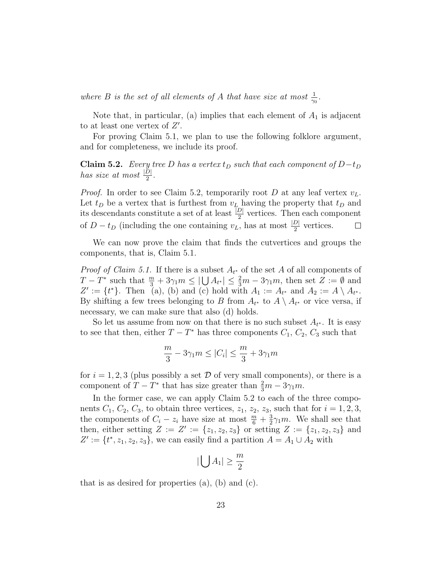where B is the set of all elements of A that have size at most  $\frac{1}{\gamma_0}$ .

Note that, in particular, (a) implies that each element of  $A_1$  is adjacent to at least one vertex of  $Z'$ .

For proving Claim 5.1, we plan to use the following folklore argument, and for completeness, we include its proof.

Claim 5.2. Every tree D has a vertex  $t_D$  such that each component of  $D-t_D$ has size at most  $\frac{|\tilde{D}|}{2}$ .

*Proof.* In order to see Claim 5.2, temporarily root D at any leaf vertex  $v_L$ . Let  $t_D$  be a vertex that is furthest from  $v_L$  having the property that  $t_D$  and its descendants constitute a set of at least  $\frac{|D|}{2}$  vertices. Then each component of  $D - t_D$  (including the one containing  $v_L$ , has at most  $\frac{|D|}{2}$  vertices.  $\Box$ 

We can now prove the claim that finds the cutvertices and groups the components, that is, Claim 5.1.

*Proof of Claim 5.1.* If there is a subset  $A_{t^*}$  of the set A of all components of  $T - T^*$  such that  $\frac{m}{3} + 3\gamma_1 m \leq |\bigcup A_{t^*}| \leq \frac{2}{3}m - 3\gamma_1 m$ , then set  $Z := \emptyset$  and  $Z' := \{t^*\}.$  Then (a), (b) and (c) hold with  $A_1 := A_{t^*}$  and  $A_2 := A \setminus A_{t^*}.$ By shifting a few trees belonging to B from  $A_{t^*}$  to  $A \setminus A_{t^*}$  or vice versa, if necessary, we can make sure that also (d) holds.

So let us assume from now on that there is no such subset  $A_{t^*}$ . It is easy to see that then, either  $T - T^*$  has three components  $C_1$ ,  $C_2$ ,  $C_3$  such that

$$
\frac{m}{3} - 3\gamma_1 m \le |C_i| \le \frac{m}{3} + 3\gamma_1 m
$$

for  $i = 1, 2, 3$  (plus possibly a set  $D$  of very small components), or there is a component of  $T - T^*$  that has size greater than  $\frac{2}{3}m - 3\gamma_1 m$ .

In the former case, we can apply Claim 5.2 to each of the three components  $C_1$ ,  $C_2$ ,  $C_3$ , to obtain three vertices,  $z_1$ ,  $z_2$ ,  $z_3$ , such that for  $i = 1, 2, 3$ , the components of  $C_i - z_i$  have size at most  $\frac{m}{6} + \frac{3}{2}$  $\frac{3}{2}\gamma_1 m$ . We shall see that then, either setting  $Z := Z' := \{z_1, z_2, z_3\}$  or setting  $Z := \{z_1, z_2, z_3\}$  and  $Z' := \{t^*, z_1, z_2, z_3\}$ , we can easily find a partition  $A = A_1 \cup A_2$  with

$$
|\bigcup A_1| \geq \frac{m}{2}
$$

that is as desired for properties  $(a)$ ,  $(b)$  and  $(c)$ .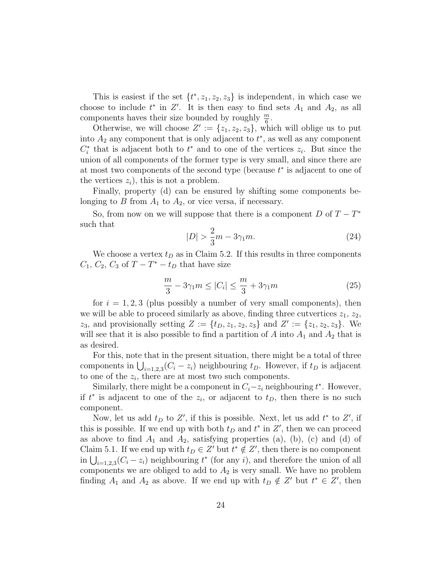This is easiest if the set  $\{t^*, z_1, z_2, z_3\}$  is independent, in which case we choose to include  $t^*$  in  $Z'$ . It is then easy to find sets  $A_1$  and  $A_2$ , as all components haves their size bounded by roughly  $\frac{m}{6}$ .

Otherwise, we will choose  $Z' := \{z_1, z_2, z_3\}$ , which will oblige us to put into  $A_2$  any component that is only adjacent to  $t^*$ , as well as any component  $C_i^*$  that is adjacent both to  $t^*$  and to one of the vertices  $z_i$ . But since the union of all components of the former type is very small, and since there are at most two components of the second type (because  $t^*$  is adjacent to one of the vertices  $z_i$ , this is not a problem.

Finally, property (d) can be ensured by shifting some components belonging to B from  $A_1$  to  $A_2$ , or vice versa, if necessary.

So, from now on we will suppose that there is a component  $D$  of  $T - T^*$ such that

$$
|D| > \frac{2}{3}m - 3\gamma_1 m.
$$
 (24)

We choose a vertex  $t_D$  as in Claim 5.2. If this results in three components  $C_1, C_2, C_3$  of  $T - T^* - t_D$  that have size

$$
\frac{m}{3} - 3\gamma_1 m \le |C_i| \le \frac{m}{3} + 3\gamma_1 m \tag{25}
$$

for  $i = 1, 2, 3$  (plus possibly a number of very small components), then we will be able to proceed similarly as above, finding three cutvertices  $z_1, z_2$ ,  $z_3$ , and provisionally setting  $Z := \{t_D, z_1, z_2, z_3\}$  and  $Z' := \{z_1, z_2, z_3\}$ . We will see that it is also possible to find a partition of A into  $A_1$  and  $A_2$  that is as desired.

For this, note that in the present situation, there might be a total of three components in  $\bigcup_{i=1,2,3}(C_i - z_i)$  neighbouring  $t_D$ . However, if  $t_D$  is adjacent to one of the  $z_i$ , there are at most two such components.

Similarly, there might be a component in  $C_i - z_i$  neighbouring  $t^*$ . However, if  $t^*$  is adjacent to one of the  $z_i$ , or adjacent to  $t_D$ , then there is no such component.

Now, let us add  $t_D$  to  $Z'$ , if this is possible. Next, let us add  $t^*$  to  $Z'$ , if this is possible. If we end up with both  $t_D$  and  $t^*$  in  $Z'$ , then we can proceed as above to find  $A_1$  and  $A_2$ , satisfying properties (a), (b), (c) and (d) of Claim 5.1. If we end up with  $t_D \in Z'$  but  $t^* \notin Z'$ , then there is no component in  $\bigcup_{i=1,2,3}(C_i-z_i)$  neighbouring  $t^*$  (for any i), and therefore the union of all components we are obliged to add to  $A_2$  is very small. We have no problem finding  $A_1$  and  $A_2$  as above. If we end up with  $t_D \notin Z'$  but  $t^* \in Z'$ , then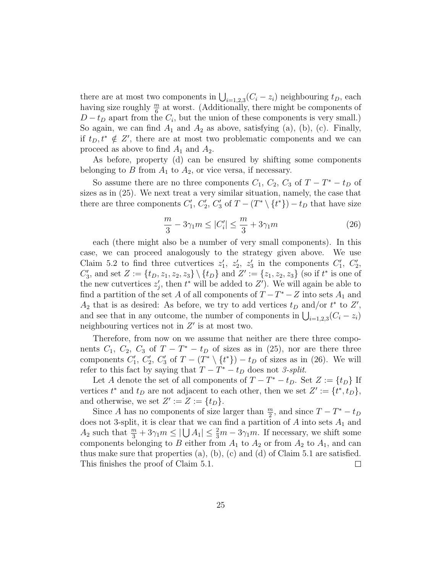there are at most two components in  $\bigcup_{i=1,2,3}(C_i - z_i)$  neighbouring  $t_D$ , each having size roughly  $\frac{m}{6}$  at worst. (Additionally, there might be components of  $D-t_D$  apart from the  $C_i$ , but the union of these components is very small.) So again, we can find  $A_1$  and  $A_2$  as above, satisfying (a), (b), (c). Finally, if  $t_D, t^* \notin Z'$ , there are at most two problematic components and we can proceed as above to find  $A_1$  and  $A_2$ .

As before, property (d) can be ensured by shifting some components belonging to B from  $A_1$  to  $A_2$ , or vice versa, if necessary.

So assume there are no three components  $C_1$ ,  $C_2$ ,  $C_3$  of  $T - T^* - t_D$  of sizes as in (25). We next treat a very similar situation, namely, the case that there are three components  $C'_1$ ,  $C'_2$ ,  $C'_3$  of  $T - (T^* \setminus \{t^*\}) - t_D$  that have size

$$
\frac{m}{3} - 3\gamma_1 m \le |C_i'| \le \frac{m}{3} + 3\gamma_1 m \tag{26}
$$

each (there might also be a number of very small components). In this case, we can proceed analogously to the strategy given above. We use Claim 5.2 to find three cutvertices  $z'_1, z'_2, z'_3$  in the components  $C'_1, C'_2,$  $C'_3$ , and set  $Z := \{t_D, z_1, z_2, z_3\} \setminus \{t_D\}$  and  $Z' := \{z_1, z_2, z_3\}$  (so if  $t^*$  is one of the new cutvertices  $z_j'$ , then  $t^*$  will be added to  $Z'$ ). We will again be able to find a partition of the set A of all components of  $T - T^* - Z$  into sets  $A_1$  and  $A_2$  that is as desired: As before, we try to add vertices  $t_D$  and/or  $t^*$  to  $Z'$ , and see that in any outcome, the number of components in  $\bigcup_{i=1,2,3}(C_i-z_i)$ neighbouring vertices not in  $Z'$  is at most two.

Therefore, from now on we assume that neither are there three components  $C_1$ ,  $C_2$ ,  $C_3$  of  $T - T^* - t_D$  of sizes as in (25), nor are there three components  $C'_1$ ,  $C'_2$ ,  $C'_3$  of  $T - (T^* \setminus \{t^*\}) - t_D$  of sizes as in (26). We will refer to this fact by saying that  $T - T^* - t_D$  does not 3-split.

Let A denote the set of all components of  $T - T^* - t_D$ . Set  $Z := \{t_D\}$  If vertices  $t^*$  and  $t_D$  are not adjacent to each other, then we set  $Z' := \{t^*, t_D\},\$ and otherwise, we set  $Z' := Z := \{t_D\}.$ 

Since A has no components of size larger than  $\frac{m}{2}$ , and since  $T - T^* - t_D$ does not 3-split, it is clear that we can find a partition of  $A$  into sets  $A_1$  and  $A_2$  such that  $\frac{m}{3} + 3\gamma_1 m \leq |\bigcup A_1| \leq \frac{2}{3}m - 3\gamma_1 m$ . If necessary, we shift some components belonging to B either from  $A_1$  to  $A_2$  or from  $A_2$  to  $A_1$ , and can thus make sure that properties (a), (b), (c) and (d) of Claim 5.1 are satisfied. This finishes the proof of Claim 5.1.  $\Box$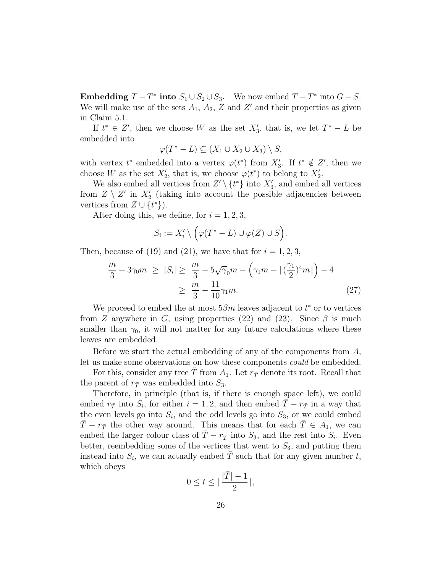Embedding  $T - T^*$  into  $S_1 \cup S_2 \cup S_3$ . We now embed  $T - T^*$  into  $G - S$ . We will make use of the sets  $A_1$ ,  $A_2$ , Z and Z' and their properties as given in Claim 5.1.

If  $t^* \in Z'$ , then we choose W as the set  $X'_3$ , that is, we let  $T^* - L$  be embedded into

$$
\varphi(T^*-L) \subseteq (X_1 \cup X_2 \cup X_3) \setminus S,
$$

with vertex  $t^*$  embedded into a vertex  $\varphi(t^*)$  from  $X'_3$ . If  $t^* \notin Z'$ , then we choose W as the set  $X'_2$ , that is, we choose  $\varphi(t^*)$  to belong to  $X'_2$ .

We also embed all vertices from  $Z' \setminus \{t^*\}$  into  $X'_3$ , and embed all vertices from  $Z \setminus Z'$  in  $X_2'$  (taking into account the possible adjacencies between vertices from  $Z \cup \{t^*\}$ .

After doing this, we define, for  $i = 1, 2, 3$ ,

$$
S_i := X'_i \setminus \Big(\varphi(T^* - L) \cup \varphi(Z) \cup S\Big).
$$

Then, because of (19) and (21), we have that for  $i = 1, 2, 3$ ,

$$
\frac{m}{3} + 3\gamma_0 m \ge |S_i| \ge \frac{m}{3} - 5\sqrt{\gamma_0}m - \left(\gamma_1 m - \left[\left(\frac{\gamma_1}{2}\right)^4 m\right]\right) - 4
$$
  

$$
\ge \frac{m}{3} - \frac{11}{10}\gamma_1 m.
$$
 (27)

We proceed to embed the at most  $5\beta m$  leaves adjacent to  $t^*$  or to vertices from Z anywhere in G, using properties (22) and (23). Since  $\beta$  is much smaller than  $\gamma_0$ , it will not matter for any future calculations where these leaves are embedded.

Before we start the actual embedding of any of the components from  $A$ , let us make some observations on how these components could be embedded.

For this, consider any tree T from  $A_1$ . Let  $r_{\overline{T}}$  denote its root. Recall that the parent of  $r_{\bar{T}}$  was embedded into  $S_3$ .

Therefore, in principle (that is, if there is enough space left), we could embed  $r_{\bar{T}}$  into  $S_i$ , for either  $i = 1, 2$ , and then embed  $\bar{T} - r_{\bar{T}}$  in a way that the even levels go into  $S_i$ , and the odd levels go into  $S_3$ , or we could embed  $T - r_{\overline{T}}$  the other way around. This means that for each  $T \in A_1$ , we can embed the larger colour class of  $\overline{T} - r_{\overline{T}}$  into  $S_3$ , and the rest into  $S_i$ . Even better, reembedding some of the vertices that went to  $S_3$ , and putting them instead into  $S_i$ , we can actually embed  $\overline{T}$  such that for any given number t, which obeys

$$
0 \le t \le \lceil \frac{|\bar{T}| - 1}{2} \rceil,
$$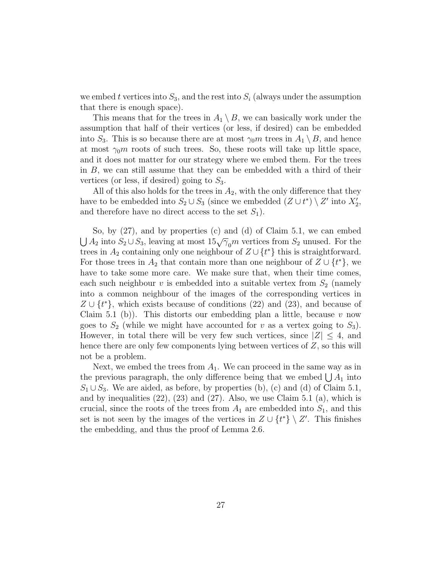we embed t vertices into  $S_3$ , and the rest into  $S_i$  (always under the assumption that there is enough space).

This means that for the trees in  $A_1 \setminus B$ , we can basically work under the assumption that half of their vertices (or less, if desired) can be embedded into  $S_3$ . This is so because there are at most  $\gamma_0 m$  trees in  $A_1 \setminus B$ , and hence at most  $\gamma_0$ m roots of such trees. So, these roots will take up little space, and it does not matter for our strategy where we embed them. For the trees in B, we can still assume that they can be embedded with a third of their vertices (or less, if desired) going to  $S_3$ .

All of this also holds for the trees in  $A_2$ , with the only difference that they have to be embedded into  $S_2 \cup S_3$  (since we embedded  $(Z \cup t^*) \setminus Z'$  into  $X'_2$ , and therefore have no direct access to the set  $S_1$ ).

So, by (27), and by properties (c) and (d) of Claim 5.1, we can embed  $\bigcup A_2$  into  $S_2 \cup S_3$ , leaving at most  $15\sqrt{\gamma_0}m$  vertices from  $S_2$  unused. For the trees in  $A_2$  containing only one neighbour of  $Z \cup \{t^*\}$  this is straightforward. For those trees in  $A_2$  that contain more than one neighbour of  $Z \cup \{t^*\}$ , we have to take some more care. We make sure that, when their time comes, each such neighbour v is embedded into a suitable vertex from  $S_2$  (namely into a common neighbour of the images of the corresponding vertices in  $Z \cup \{t^*\}$ , which exists because of conditions (22) and (23), and because of Claim 5.1 (b)). This distorts our embedding plan a little, because  $v$  now goes to  $S_2$  (while we might have accounted for v as a vertex going to  $S_3$ ). However, in total there will be very few such vertices, since  $|Z| \leq 4$ , and hence there are only few components lying between vertices of Z, so this will not be a problem.

Next, we embed the trees from  $A_1$ . We can proceed in the same way as in the previous paragraph, the only difference being that we embed  $\bigcup A_1$  into  $S_1 \cup S_3$ . We are aided, as before, by properties (b), (c) and (d) of Claim 5.1, and by inequalities  $(22)$ ,  $(23)$  and  $(27)$ . Also, we use Claim 5.1 (a), which is crucial, since the roots of the trees from  $A_1$  are embedded into  $S_1$ , and this set is not seen by the images of the vertices in  $Z \cup \{t^*\} \setminus Z'$ . This finishes the embedding, and thus the proof of Lemma 2.6.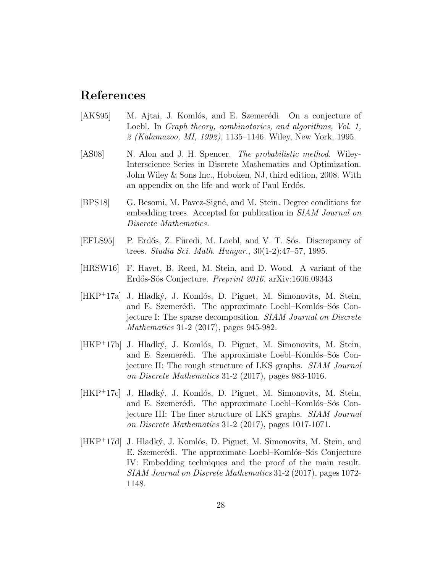## References

- [AKS95] M. Ajtai, J. Komlós, and E. Szemerédi. On a conjecture of Loebl. In *Graph theory, combinatorics, and algorithms, Vol. 1,* 2 (Kalamazoo, MI, 1992), 1135–1146. Wiley, New York, 1995.
- [AS08] N. Alon and J. H. Spencer. *The probabilistic method.* Wiley-Interscience Series in Discrete Mathematics and Optimization. John Wiley & Sons Inc., Hoboken, NJ, third edition, 2008. With an appendix on the life and work of Paul Erdős.
- [BPS18] G. Besomi, M. Pavez-Signé, and M. Stein. Degree conditions for embedding trees. Accepted for publication in SIAM Journal on Discrete Mathematics.
- [EFLS95] P. Erdős, Z. Füredi, M. Loebl, and V. T. Sós. Discrepancy of trees. Studia Sci. Math. Hungar., 30(1-2):47–57, 1995.
- [HRSW16] F. Havet, B. Reed, M. Stein, and D. Wood. A variant of the Erdős-Sós Conjecture. Preprint 2016. arXiv:1606.09343
- [HKP+17a] J. Hladký, J. Komlós, D. Piguet, M. Simonovits, M. Stein, and E. Szemerédi. The approximate Loebl–Komlós–Sós Conjecture I: The sparse decomposition. SIAM Journal on Discrete Mathematics 31-2 (2017), pages 945-982.
- [HKP<sup>+</sup>17b] J. Hladký, J. Komlós, D. Piguet, M. Simonovits, M. Stein, and E. Szemerédi. The approximate Loebl–Komlós–Sós Conjecture II: The rough structure of LKS graphs. SIAM Journal on Discrete Mathematics 31-2 (2017), pages 983-1016.
- [HKP+17c] J. Hladký, J. Komlós, D. Piguet, M. Simonovits, M. Stein, and E. Szemerédi. The approximate Loebl–Komlós–Sós Conjecture III: The finer structure of LKS graphs. SIAM Journal on Discrete Mathematics 31-2 (2017), pages 1017-1071.
- $[HKP^+17d]$  J. Hladký, J. Komlós, D. Piguet, M. Simonovits, M. Stein, and E. Szemerédi. The approximate Loebl–Komlós–Sós Conjecture IV: Embedding techniques and the proof of the main result. SIAM Journal on Discrete Mathematics 31-2 (2017), pages 1072- 1148.